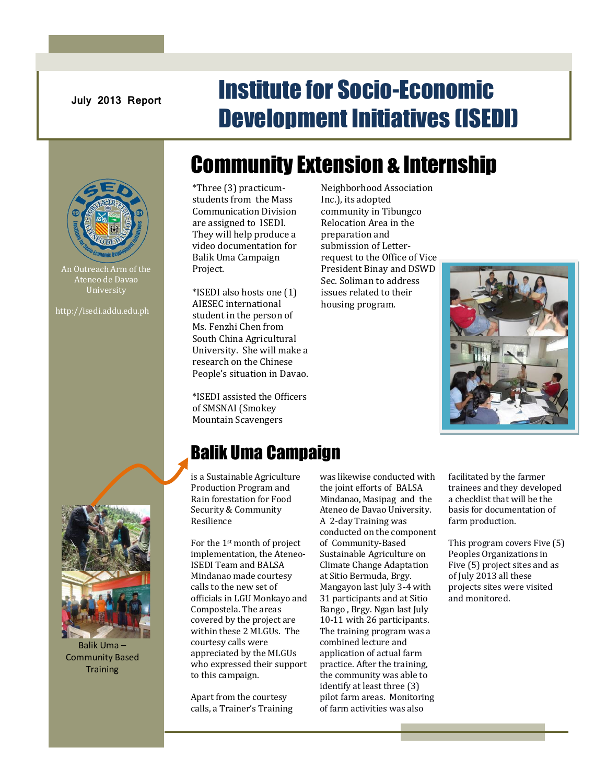# **July 2013 Report Institute for Socio-Economic** Development Initiatives (ISEDI)



An Outreach Arm of the Ateneo de Davao University

http://isedi.addu.edu.ph

# Community Extension & Internship

\*Three (3) practicumstudents from the Mass Communication Division are assigned to ISEDI. They will help produce a video documentation for Balik Uma Campaign Project.

\*ISEDI also hosts one (1) AIESEC international student in the person of Ms. Fenzhi Chen from South China Agricultural University. She will make a research on the Chinese People's situation in Davao.

\*ISEDI assisted the Officers of SMSNAI (Smokey Mountain Scavengers

Neighborhood Association Inc.), its adopted community in Tibungco Relocation Area in the preparation and submission of Letterrequest to the Office of Vice President Binay and DSWD Sec. Soliman to address issues related to their housing program.





Balik Uma – Community Based **Training** 

## Balik Uma Campaign

is a Sustainable Agriculture Production Program and Rain forestation for Food Security & Community Resilience

For the 1st month of project implementation, the Ateneo-ISEDI Team and BALSA Mindanao made courtesy calls to the new set of officials in LGU Monkayo and Compostela. The areas covered by the project are within these 2 MLGUs. The courtesy calls were appreciated by the MLGUs who expressed their support to this campaign.

Apart from the courtesy calls, a Trainer's Training was likewise conducted with the joint efforts of BALSA Mindanao, Masipag and the Ateneo de Davao University. A 2-day Training was conducted on the component of Community-Based Sustainable Agriculture on Climate Change Adaptation at Sitio Bermuda, Brgy. Mangayon last July 3-4 with 31 participants and at Sitio Bango , Brgy. Ngan last July 10-11 with 26 participants. The training program was a combined lecture and application of actual farm practice. After the training, the community was able to identify at least three (3) pilot farm areas. Monitoring of farm activities was also

facilitated by the farmer trainees and they developed a checklist that will be the basis for documentation of farm production.

This program covers Five (5) Peoples Organizations in Five (5) project sites and as of July 2013 all these projects sites were visited and monitored.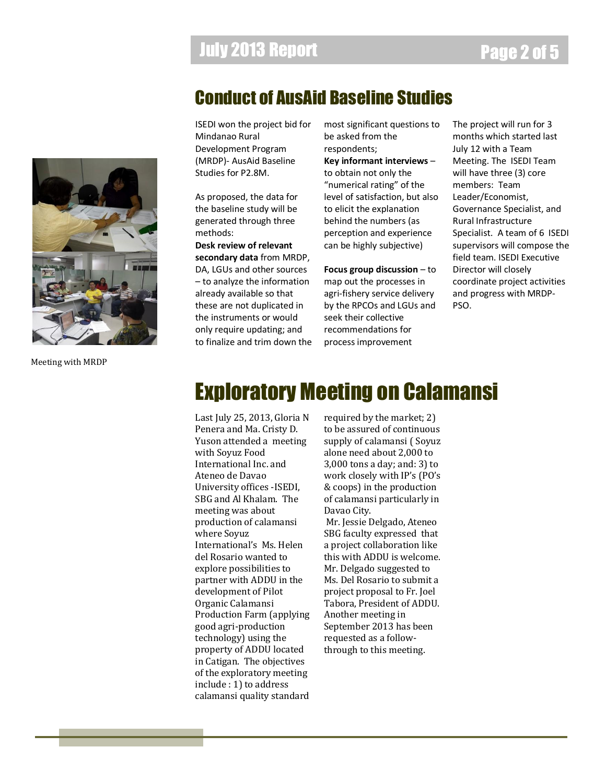### Conduct of AusAid Baseline Studies

ISEDI won the project bid for Mindanao Rural Development Program (MRDP)- AusAid Baseline Studies for P2.8M.

As proposed, the data for the baseline study will be generated through three methods:

**Desk review of relevant secondary data** from MRDP, DA, LGUs and other sources – to analyze the information already available so that these are not duplicated in the instruments or would only require updating; and to finalize and trim down the most significant questions to be asked from the respondents; **Key informant interviews** – to obtain not only the "numerical rating" of the level of satisfaction, but also to elicit the explanation behind the numbers (as perception and experience can be highly subjective)

**Focus group discussion** – to map out the processes in agri-fishery service delivery by the RPCOs and LGUs and seek their collective recommendations for process improvement

The project will run for 3 months which started last July 12 with a Team Meeting. The ISEDI Team will have three (3) core members: Team Leader/Economist, Governance Specialist, and Rural Infrastructure Specialist. A team of 6 ISEDI supervisors will compose the field team. ISEDI Executive Director will closely coordinate project activities and progress with MRDP-PSO.

# Exploratory Meeting on Calamansi

Penera and Ma. Cristy D. Yuson attended a meeting with Soyuz Food International Inc. and Ateneo de Davao University offices -ISEDI, SBG and Al Khalam. The meeting was about production of calamansi where Soyuz International's Ms. Helen del Rosario wanted to explore possibilities to partner with ADDU in the development of Pilot Organic Calamansi Production Farm (applying good agri-production technology) using the property of ADDU located in Catigan. The objectives of the exploratory meeting include : 1) to address calamansi quality standard

Last July 25, 2013, Gloria N required by the market; 2)<br>Parame and Ma Cristy D. Lashe assumed of sentiny ave required by the market; 2) to be assured of continuous supply of calamansi ( Soyuz alone need about 2,000 to 3,000 tons a day; and: 3) to work closely with IP's (PO's & coops) in the production of calamansi particularly in Davao City.

> Mr. Jessie Delgado, Ateneo SBG faculty expressed that a project collaboration like this with ADDU is welcome. Mr. Delgado suggested to Ms. Del Rosario to submit a project proposal to Fr. Joel Tabora, President of ADDU. Another meeting in September 2013 has been requested as a followthrough to this meeting.



Meeting with MRDP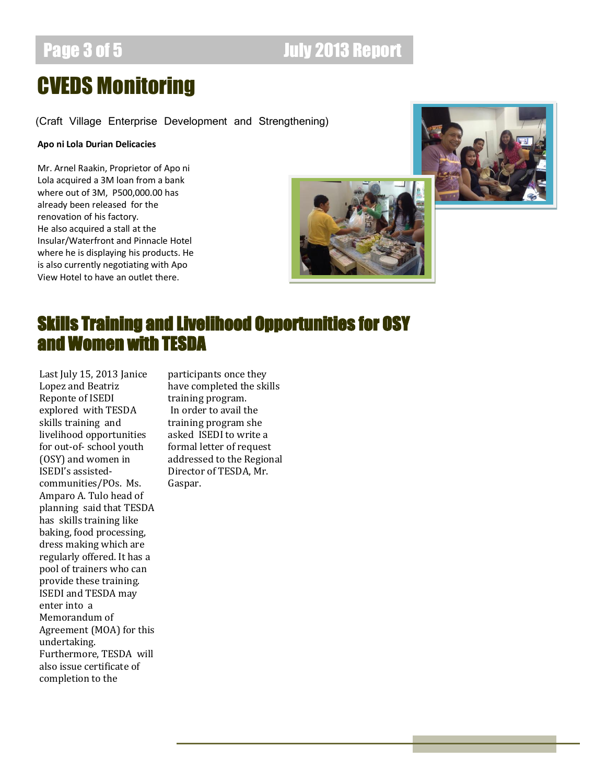## Page 3 of 5 **July 2013 Report**

# CVEDS Monitoring

(Craft Village Enterprise Development and Strengthening)

### **Apo ni Lola Durian Delicacies**

Mr. Arnel Raakin, Proprietor of Apo ni Lola acquired a 3M loan from a bank where out of 3M, P500,000.00 has already been released for the renovation of his factory. He also acquired a stall at the Insular/Waterfront and Pinnacle Hotel where he is displaying his products. He is also currently negotiating with Apo View Hotel to have an outlet there.





### Skills Training and Livelihood Opportunities for OSY and Women with TESDA

Last July 15, 2013 Janice Lopez and Beatriz Reponte of ISEDI explored with TESDA skills training and livelihood opportunities for out-of- school youth (OSY) and women in ISEDI's assistedcommunities/POs. Ms. Amparo A. Tulo head of planning said that TESDA has skills training like baking, food processing, dress making which are regularly offered. It has a pool of trainers who can provide these training. ISEDI and TESDA may enter into a Memorandum of Agreement (MOA) for this undertaking. Furthermore, TESDA will also issue certificate of completion to the

participants once they have completed the skills training program. In order to avail the training program she asked ISEDI to write a formal letter of request addressed to the Regional Director of TESDA, Mr. Gaspar.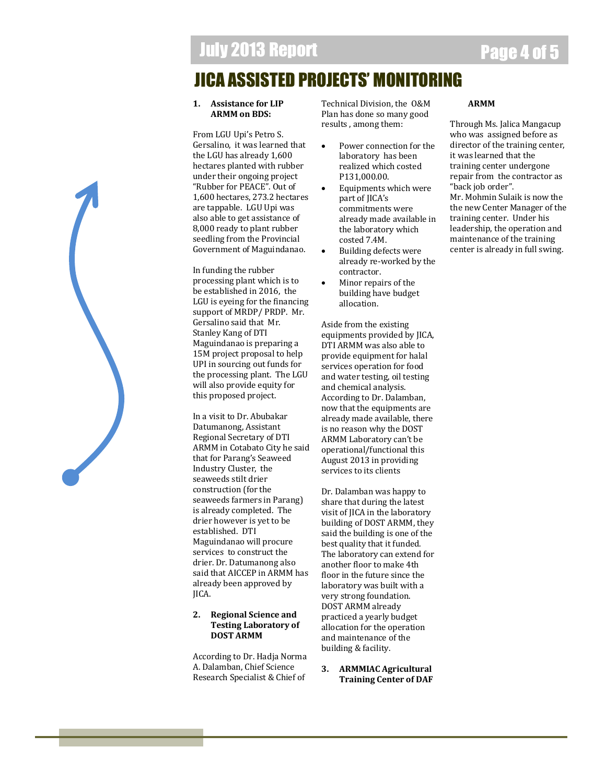## JICA ASSISTED PROJECTS' MONITORING

### **1. Assistance for LIP ARMM on BDS:**

From LGU Upi's Petro S. Gersalino, it was learned that the LGU has already 1,600 hectares planted with rubber under their ongoing project "Rubber for PEACE". Out of 1,600 hectares, 273.2 hectares are tappable. LGU Upi was also able to get assistance of 8,000 ready to plant rubber seedling from the Provincial Government of Maguindanao.

In funding the rubber processing plant which is to be established in 2016, the LGU is eyeing for the financing support of MRDP/ PRDP. Mr. Gersalino said that Mr. Stanley Kang of DTI Maguindanao is preparing a 15M project proposal to help UPI in sourcing out funds for the processing plant. The LGU will also provide equity for this proposed project.

In a visit to Dr. Abubakar Datumanong, Assistant Regional Secretary of DTI ARMM in Cotabato City he said that for Parang's Seaweed Industry Cluster, the seaweeds stilt drier construction (for the seaweeds farmers in Parang) is already completed. The drier however is yet to be established. DTI Maguindanao will procure services to construct the drier. Dr. Datumanong also said that AICCEP in ARMM has already been approved by JICA.

### **2. Regional Science and Testing Laboratory of DOST ARMM**

According to Dr. Hadja Norma A. Dalamban, Chief Science Research Specialist & Chief of

Technical Division, the O&M Plan has done so many good results , among them:

- Power connection for the laboratory has been realized which costed P131,000.00.
- Equipments which were part of JICA's commitments were already made available in the laboratory which costed 7.4M.
- Building defects were already re-worked by the contractor.
- Minor repairs of the building have budget allocation.

Aside from the existing equipments provided by JICA, DTI ARMM was also able to provide equipment for halal services operation for food and water testing, oil testing and chemical analysis. According to Dr. Dalamban, now that the equipments are already made available, there is no reason why the DOST ARMM Laboratory can't be operational/functional this August 2013 in providing services to its clients

Dr. Dalamban was happy to share that during the latest visit of JICA in the laboratory building of DOST ARMM, they said the building is one of the best quality that it funded. The laboratory can extend for another floor to make 4th floor in the future since the laboratory was built with a very strong foundation. DOST ARMM already practiced a yearly budget allocation for the operation and maintenance of the building & facility.

**3. ARMMIAC Agricultural Training Center of DAF** 

### **ARMM**

Through Ms. Jalica Mangacup who was assigned before as director of the training center, it was learned that the training center undergone repair from the contractor as "back job order". Mr. Mohmin Sulaik is now the the new Center Manager of the training center. Under his leadership, the operation and maintenance of the training center is already in full swing.